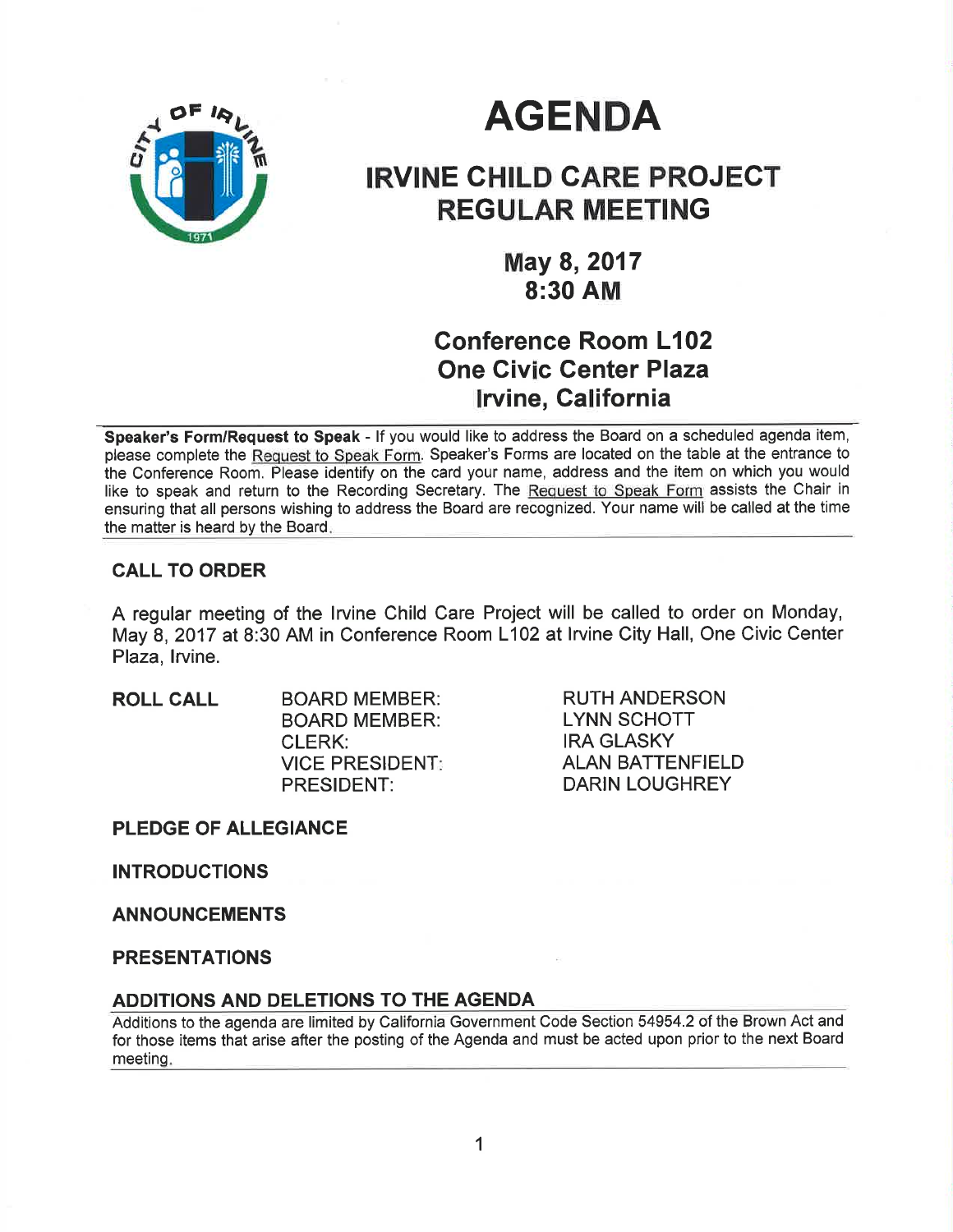

# **AGENDA**

## IRVINE CHILD CARE PROJECT REGULAR MEETING

May 8,2017 8:30 AM

## Conference Room L102 One Civic Genter Plaza lrvine, California

Speaker's Form/Request to Speak - If you would like to address the Board on a scheduled agenda item, please complete the Request to Speak Form. Speaker's Forms are located on the table at the entrance to the Conference Room. Please identify on the card your name, address and the item on which you would like to speak and return to the Recording Secretary. The Request to Speak Form assists the Chair in ensuring that all persons wishing to address the Board are recognized. Your name will be called at the time the matter is heard by the Board

### CALL TO ORDER

A regular meeting of the lrvine Child Care Project will be called to order on Monday, May 8, 2017 at 8:30 AM in Conference Room L102 at lrvine City Hall, One Civic Center Plaza, Irvine.

ROLL CALL BOARD MEMBER: BOARD MEMBER: CLERK: VICE PRESIDENT PRESIDENT:

RUTH ANDERSON LYNN SCHOTT IRA GLASKY ALAN BATTENFIELD DARIN LOUGHREY

PLEDGE OF ALLEGIANCE

INTRODUCTIONS

ANNOUNCEMENTS

PRESENTATIONS

#### ADDITIONS AND DELETIONS TO THE AGENDA

Additions to the agenda are limited by California Government Code Section 54954.2 of the Brown Act and for those items that arise after the posting of the Agenda and must be acted upon prior to the next Board meeting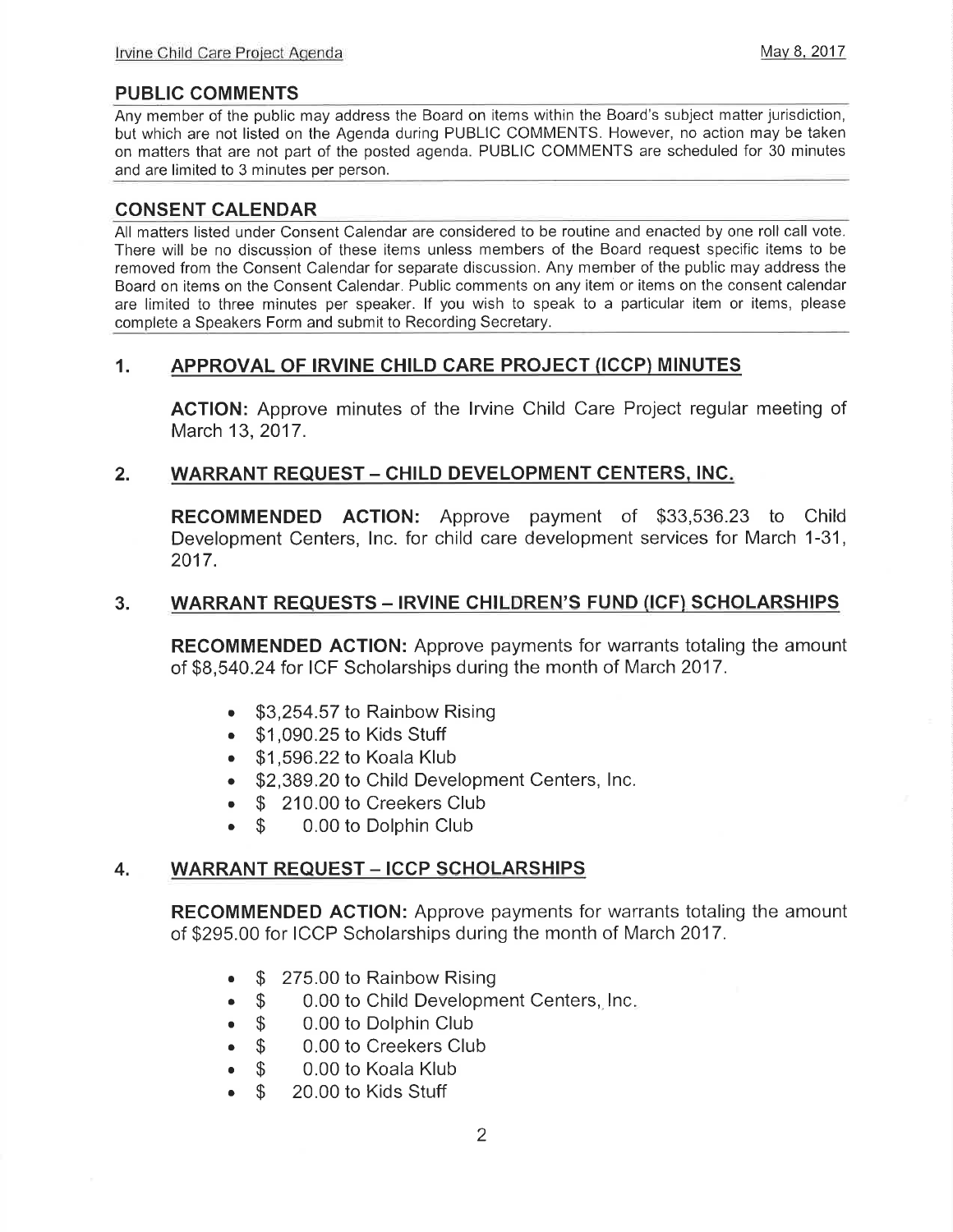### PUBLIC COMMENTS

Any member of the public may address the Board on items within the Board's subject matter jurisdiction, but which are not listed on the Agenda during PUBLIC COMMENTS. However, no action may be taken on matters that are not part of the posted agenda. PUBLIC COMMENTS are scheduled for 30 minutes and are limited to 3 minutes per person.

#### CONSENT CALENDAR

All matters listed under Consent Calendar are considered to be routine and enacted by one roll call vote. There will be no discussion of these items unless members of the Board request specific items to be removed from the Consent Calendar for separate discussion. Any member of the public may address the Board on items on the Consent Calendar. Public comments on any item or items on the consent calendar are limited to three minutes per speaker. lf you wish to speak to a particular item or items, please complete a Speakers Form and submit to Recording Secretary.

### 1. APPROVAL OF IRVINE CHILD CARE PROJECT (ICCP) MINUTES

ACTION: Approve minutes of the lrvine Child Care Project regular meeting of March 13,2017.

### 2. WARRANT REQUEST - CHILD DEVELOPMENT CENTERS, INC.

RECOMMENDED ACTION: Approve payment of \$33,536.23 to Child Development Centers, lnc. for child care development services for March 1-31, 2017.

#### 3. WARRANT REQUESTS - IRVINE CHILDREN'S FUND (ICF) SCHOLARSHIPS

RECOMMENDED ACTION: Approve payments for warrants totaling the amount of \$8,540.24 for ICF Scholarships during the month of March 2017.

- \$3,254.57 to Rainbow Rising
- . \$1,090.25 to Kids Stuff
- . \$1 ,596.22 to Koala Klub
- \$2,389.20 to Child Development Centers, Inc.
- \$ 210.00 to Creekers Club<br>● \$ 0.00 to Dolphin Club
- \$ 0.00 to Dolphin Club

## 4. WARRANT REQUEST – ICCP SCHOLARSHIPS

RECOMMENDED AGTION: Approve payments for warrants totaling the amount of \$295.00 for ICCP Scholarships during the month of March 2017.

- \$ 275.00 to Rainbow Rising<br>● \$ 0.00 to Child Developm
- \$ 0.00 to Child Development Centers, Inc.<br>• \$ 0.00 to Dolphin Club
- **S** 0.00 to Dolphin Club<br>**S** 0.00 to Creekers Clu
- \$ 0.00 to Creekers Club
- \$ 0.00 to Koala Klub<br>● \$ 20.00 to Kids Stuff
- 20.00 to Kids Stuff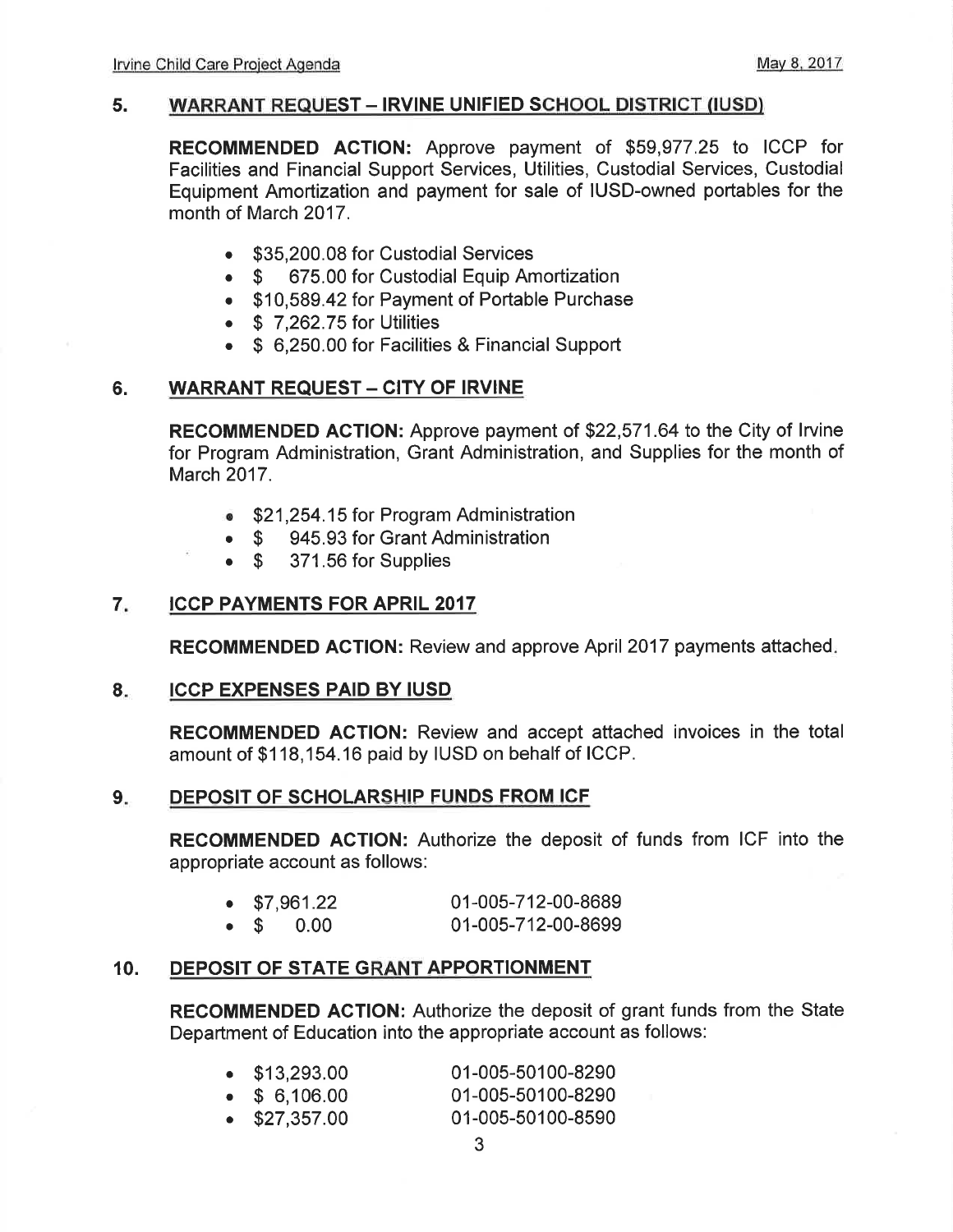#### 5. WARRANT REQUEST - IRVINE UNIFIED SCHOOL DISTRICT (IUSD)

RECOMMENDED AGTION: Approve payment of \$59,977.25 to ICCP for Facilities and Financial Support Services, Utilities, Custodial Services, Custodial Equipment Amortization and payment for sale of IUSD-owned portables for the month of March 2017.

- . \$35,200.08 for Custodial Services
- \$ 675.00 for Custodial Equip Amortization
- . \$10,589.42 for Payment of Portable Purchase
- $\bullet$  \$ 7,262.75 for Utilities
- . \$ 6,250.00 for Facilities & Financial Support

## 6. WARRANT REQUEST - CITY OF IRVINE

RECOMMENDED AGTION: Approve payment of \$22,571.64 to the City of lrvine for Program Administration, Grant Administration, and Supplies for the month of March 2017.

- . \$21 ,254.15 for Program Administration
- \$ 945.93 for Grant Administration<br>• \$ 371.56 for Supplies
- 371.56 for Supplies

#### ICCP PAYMENTS FOR APRIL 2017 7

RECOMMENDED ACTION: Review and approve April 2017 payments attached

#### ICCP EXPENSES PAID BY IUSD 8

RECOMMENDED ACTION: Review and accept attached invoices in the total amount of \$118,154.16 paid by IUSD on behalf of ICCP.

#### 9. DEPOSIT OF SCHOLARSHIP FUNDS FROM ICF

RECOMMENDED AGTION: Authorize the deposit of funds from ICF into the appropriate account as follows:

| $\bullet$ \$7,961.22 |                   | 01-005-712-00-8689 |
|----------------------|-------------------|--------------------|
|                      | $\bullet$ \$ 0.00 | 01-005-712-00-8699 |

#### 10. DEPOSIT OF STATE GRANT APPORTIONMENT

RECOMMENDED AGTION: Authorize the deposit of grant funds from the State Department of Education into the appropriate account as follows:

| $\bullet$ \$13,293.00 | 01-005-50100-8290 |
|-----------------------|-------------------|
| $\bullet$ \$ 6,106.00 | 01-005-50100-8290 |
| $\bullet$ \$27,357.00 | 01-005-50100-8590 |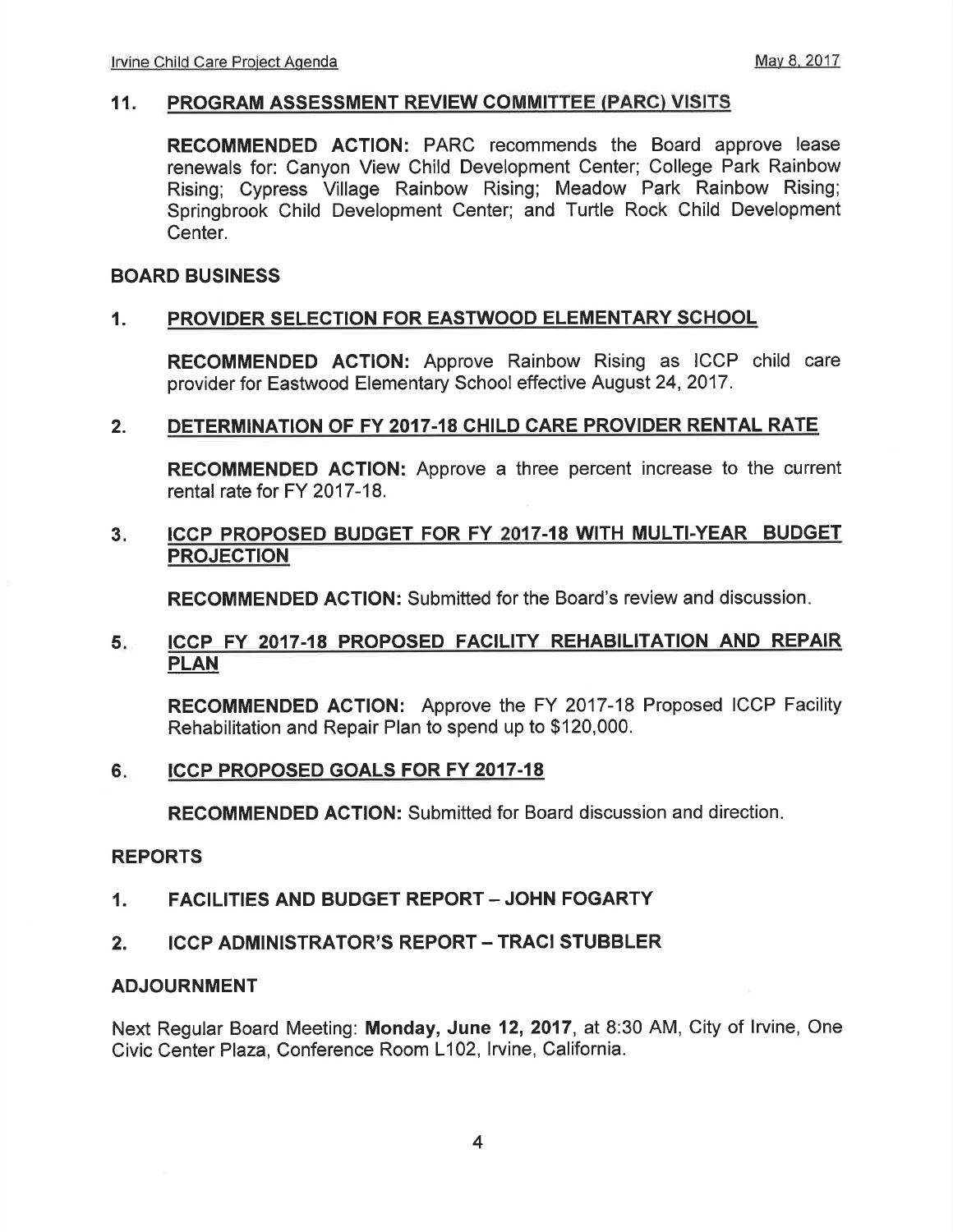#### 11. PROGRAM ASSESSMENT REVIEW COMMITTEE (PARC) VISITS

RECOMMENDED ACTION: PARC recommends the Board approve lease renewals for: Canyon View Child Development Center; College Park Rainbow Rising; Cypress Village Rainbow Rising; Meadow Park Rainbow Rising; Springbrook Child Development Center; and Turtle Rock Child Development Center.

#### BOARD BUSINESS

#### 1. PROVIDER SELECTION FOR EASTWOOD ELEMENTARY SCHOOL

RECOMMENDED ACTION: Approve Rainbow Rising as ICCP child care provider for Eastwood Elementary School effective August 24,2017.

#### 2. DETERMINATION OF FY 2017-18 CHILD CARE PROVIDER RENTAL RATE

RECOMMENDED AGTION: Approve a three percent increase to the current rental rate for FY 2017-18.

#### 3. ICCP PROPOSED BUDGET FOR FY 2017-18 WITH MULTI-YEAR BUDGET PROJECTION

RECOMMENDED AGTION: Submitted for the Board's review and discussion

#### 5. ICCP FY 2017-18 PROPOSED FACILITY REHABILITATION AND REPAIR PLAN

RECOMMENDED ACTION: Approve the FY 2017-18 Proposed ICCP Facility Rehabilitation and Repair Plan to spend up to \$120,000.

#### ICCP PROPOSED GOALS FOR FY 2017-18  $6.$

RECOMMENDED ACTION: Submitted for Board discussion and direction

#### REPORTS

- 1. FACILITIES AND BUDGET REPORT JOHN FOGARTY
- 2. ICCP ADMINISTRATOR'S REPORT TRACI STUBBLER

#### ADJOURNMENT

Next Regular Board Meeting: Monday, June 12,2017, at 8:30 AM, City of lrvine, One Civic Center Plaza, Conference Room L102, lrvine, California.